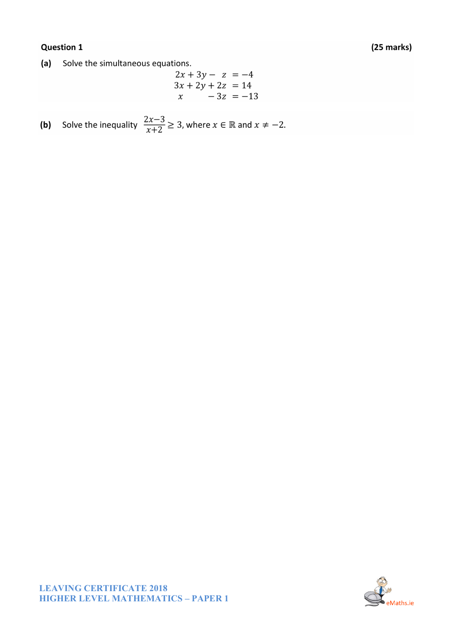## (25 marks)

## **Question 1**

(a) Solve the simultaneous equations.

$$
2x + 3y - z = -4 \n3x + 2y + 2z = 14 \nx - 3z = -13
$$

**(b)** Solve the inequality 
$$
\frac{2x-3}{x+2} \ge 3
$$
, where  $x \in \mathbb{R}$  and  $x \ne -2$ .